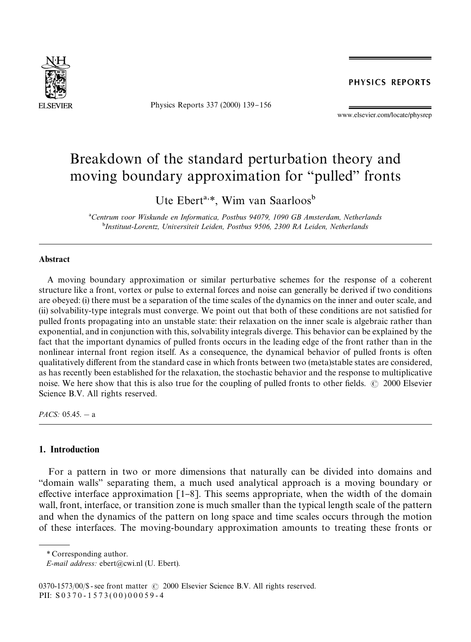

**PHYSICS REPORTS** 

www.elsevier.com/locate/physrep

# Breakdown of the standard perturbation theory and moving boundary approximation for "pulled" fronts

Physics Reports 337 (2000) 139-156

Ute Ebert<sup>a,\*</sup>, Wim van Saarloos<sup>b</sup>

!*Centrum voor Wiskunde en Informatica, Postbus 94079, 1090 GB Amsterdam, Netherlands* "*Instituut-Lorentz, Universiteit Leiden, Postbus 9506, 2300 RA Leiden, Netherlands*

#### Abstract

A moving boundary approximation or similar perturbative schemes for the response of a coherent structure like a front, vortex or pulse to external forces and noise can generally be derived if two conditions are obeyed: (i) there must be a separation of the time scales of the dynamics on the inner and outer scale, and (ii) solvability-type integrals must converge. We point out that both of these conditions are not satisfied for pulled fronts propagating into an unstable state: their relaxation on the inner scale is algebraic rather than exponential, and in conjunction with this, solvability integrals diverge. This behavior can be explained by the fact that the important dynamics of pulled fronts occurs in the leading edge of the front rather than in the nonlinear internal front region itself. As a consequence, the dynamical behavior of pulled fronts is often qualitatively different from the standard case in which fronts between two (meta)stable states are considered, as has recently been established for the relaxation, the stochastic behavior and the response to multiplicative noise. We here show that this is also true for the coupling of pulled fronts to other fields.  $\odot$  2000 Elsevier Science B.V. All rights reserved.

*PACS*:  $05.45. - a$ 

# 1. Introduction

For a pattern in two or more dimensions that naturally can be divided into domains and "domain walls" separating them, a much used analytical approach is a moving boundary or effective interface approximation  $\lceil 1-8 \rceil$ . This seems appropriate, when the width of the domain wall, front, interface, or transition zone is much smaller than the typical length scale of the pattern and when the dynamics of the pattern on long space and time scales occurs through the motion of these interfaces. The moving-boundary approximation amounts to treating these fronts or

*\** Corresponding author.

*E-mail address:* ebert@cwi.nl (U. Ebert).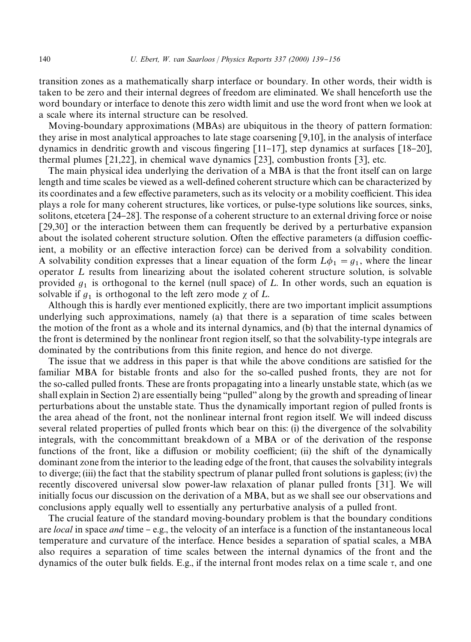transition zones as a mathematically sharp interface or boundary. In other words, their width is taken to be zero and their internal degrees of freedom are eliminated. We shall henceforth use the word boundary or interface to denote this zero width limit and use the word front when we look at a scale where its internal structure can be resolved.

Moving-boundary approximations (MBAs) are ubiquitous in the theory of pattern formation: they arise in most analytical approaches to late stage coarsening [9,10], in the analysis of interface dynamics in dendritic growth and viscous fingering  $[11-17]$ , step dynamics at surfaces  $[18-20]$ , thermal plumes [21,22], in chemical wave dynamics [23], combustion fronts [3], etc.

The main physical idea underlying the derivation of a MBA is that the front itself can on large length and time scales be viewed as a well-defined coherent structure which can be characterized by its coordinates and a few effective parameters, such as its velocity or a mobility coefficient. This idea plays a role for many coherent structures, like vortices, or pulse-type solutions like sources, sinks, solitons, etcetera [24–28]. The response of a coherent structure to an external driving force or noise [29,30] or the interaction between them can frequently be derived by a perturbative expansion about the isolated coherent structure solution. Often the effective parameters (a diffusion coefficient, a mobility or an effective interaction force) can be derived from a solvability condition. A solvability condition expresses that a linear equation of the form  $L\phi_1 = g_1$ , where the linear A solvability condition expresses that a filled equation of the form  $L\varphi_1 = g_1$ , where the filled<br>operator L results from linearizing about the isolated coherent structure solution, is solvable provided  $g_1$  is orthogonal to the kernel (null space) of  $L$ . In other words, such an equation is solvable if  $g_1$  is orthogonal to the left zero mode  $\chi$  of L.

Although this is hardly ever mentioned explicitly, there are two important implicit assumptions underlying such approximations, namely (a) that there is a separation of time scales between the motion of the front as a whole and its internal dynamics, and (b) that the internal dynamics of the front is determined by the nonlinear front region itself, so that the solvability-type integrals are dominated by the contributions from this finite region, and hence do not diverge.

The issue that we address in this paper is that while the above conditions are satisfied for the familiar MBA for bistable fronts and also for the so-called pushed fronts, they are not for the so-called pulled fronts. These are fronts propagating into a linearly unstable state, which (as we shall explain in Section 2) are essentially being "pulled" along by the growth and spreading of linear perturbations about the unstable state. Thus the dynamically important region of pulled fronts is the area ahead of the front, not the nonlinear internal front region itself. We will indeed discuss several related properties of pulled fronts which bear on this: (i) the divergence of the solvability integrals, with the concommittant breakdown of a MBA or of the derivation of the response functions of the front, like a diffusion or mobility coefficient; (ii) the shift of the dynamically dominant zone from the interior to the leading edge of the front, that causes the solvability integrals to diverge; (iii) the fact that the stability spectrum of planar pulled front solutions is gapless; (iv) the recently discovered universal slow power-law relaxation of planar pulled fronts [31]. We will initially focus our discussion on the derivation of a MBA, but as we shall see our observations and conclusions apply equally well to essentially any perturbative analysis of a pulled front.

The crucial feature of the standard moving-boundary problem is that the boundary conditions are *local* in space *and* time – e.g., the velocity of an interface is a function of the instantaneous local temperature and curvature of the interface. Hence besides a separation of spatial scales, a MBA also requires a separation of time scales between the internal dynamics of the front and the dynamics of the outer bulk fields. E.g., if the internal front modes relax on a time scale  $\tau$ , and one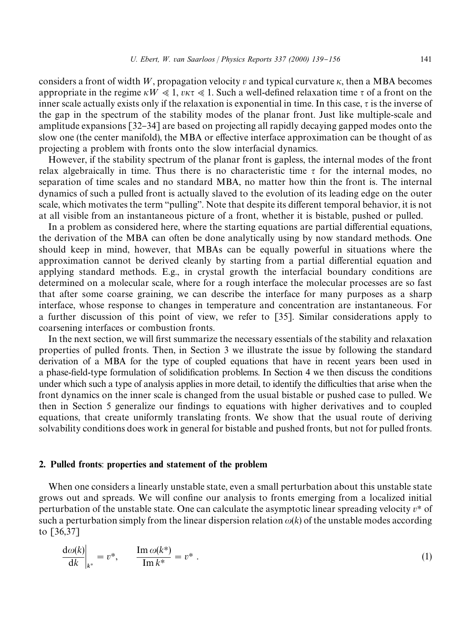considers a front of width  $W$ , propagation velocity  $v$  and typical curvature  $\kappa$ , then a MBA becomes appropriate in the regime  $\kappa W \le 1$ ,  $\nu \kappa \tau \le 1$ . Such a well-defined relaxation time  $\tau$  of a front on the inner scale actually exists only if the relaxation is exponential in time. In this case,  $\tau$  is the inverse of the gap in the spectrum of the stability modes of the planar front. Just like multiple-scale and amplitude expansions [32–34] are based on projecting all rapidly decaying gapped modes onto the slow one (the center manifold), the MBA or effective interface approximation can be thought of as projecting a problem with fronts onto the slow interfacial dynamics.

However, if the stability spectrum of the planar front is gapless, the internal modes of the front relax algebraically in time. Thus there is no characteristic time  $\tau$  for the internal modes, no separation of time scales and no standard MBA, no matter how thin the front is. The internal dynamics of such a pulled front is actually slaved to the evolution of its leading edge on the outer scale, which motivates the term "pulling". Note that despite its different temporal behavior, it is not at all visible from an instantaneous picture of a front, whether it is bistable, pushed or pulled.

In a problem as considered here, where the starting equations are partial differential equations, the derivation of the MBA can often be done analytically using by now standard methods. One should keep in mind, however, that MBAs can be equally powerful in situations where the approximation cannot be derived cleanly by starting from a partial differential equation and applying standard methods. E.g., in crystal growth the interfacial boundary conditions are determined on a molecular scale, where for a rough interface the molecular processes are so fast that after some coarse graining, we can describe the interface for many purposes as a sharp interface, whose response to changes in temperature and concentration are instantaneous. For a further discussion of this point of view, we refer to [35]. Similar considerations apply to coarsening interfaces or combustion fronts.

In the next section, we will first summarize the necessary essentials of the stability and relaxation properties of pulled fronts. Then, in Section 3 we illustrate the issue by following the standard derivation of a MBA for the type of coupled equations that have in recent years been used in a phase-field-type formulation of solidification problems. In Section 4 we then discuss the conditions under which such a type of analysis applies in more detail, to identify the difficulties that arise when the front dynamics on the inner scale is changed from the usual bistable or pushed case to pulled. We then in Section 5 generalize our findings to equations with higher derivatives and to coupled equations, that create uniformly translating fronts. We show that the usual route of deriving solvability conditions does work in general for bistable and pushed fronts, but not for pulled fronts.

#### 2. Pulled fronts: properties and statement of the problem

When one considers a linearly unstable state, even a small perturbation about this unstable state grows out and spreads. We will confine our analysis to fronts emerging from a localized initial perturbation of the unstable state. One can calculate the asymptotic linear spreading velocity  $v^*$  of such a perturbation simply from the linear dispersion relation  $\omega(k)$  of the unstable modes according to [36,37]

$$
\left. \frac{\mathrm{d}\omega(k)}{\mathrm{d}k} \right|_{k^*} = v^*, \qquad \frac{\mathrm{Im}\,\omega(k^*)}{\mathrm{Im}\,k^*} = v^* \ . \tag{1}
$$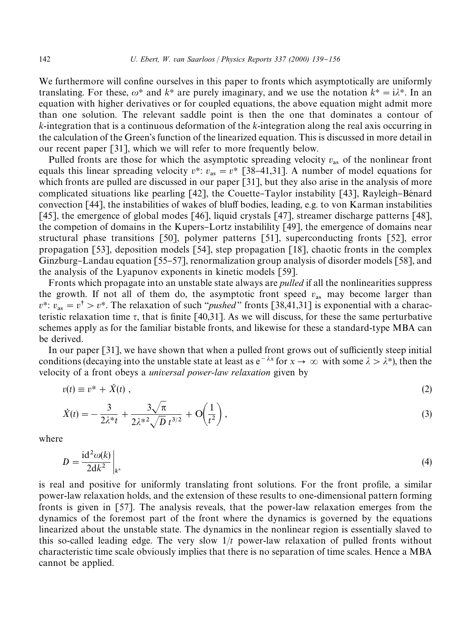We furthermore will confine ourselves in this paper to fronts which asymptotically are uniformly translating. For these,  $\omega^*$  and  $k^*$  are purely imaginary, and we use the notation  $k^* = i\lambda^*$ . In an equation with higher derivatives or for coupled equations, the above equation might admit more than one solution. The relevant saddle point is then the one that dominates a contour of *k*-integration that is a continuous deformation of the *k*-integration along the real axis occurring in the calculation of the Green's function of the linearized equation. This is discussed in more detail in our recent paper [31], which we will refer to more frequently below.

Pulled fronts are those for which the asymptotic spreading velocity  $v_{\text{as}}$  of the nonlinear front equals this linear spreading velocity  $v^*$ :  $v_{\text{as}} = v^*$  [38-41,31]. A number of model equations for which fronts are pulled are discussed in our paper [31], but they also arise in the analysis of more complicated situations like pearling  $[42]$ , the Couette–Taylor instability  $[43]$ , Rayleigh–Bénard convection [44], the instabilities of wakes of bluff bodies, leading, e.g. to von Karman instabilities [45], the emergence of global modes [46], liquid crystals [47], streamer discharge patterns [48], the competion of domains in the Kupers–Lortz instabilility [49], the emergence of domains near structural phase transitions [50], polymer patterns [51], superconducting fronts [52], error propagation [53], deposition models [54], step propagation [18], chaotic fronts in the complex Ginzburg–Landau equation [55–57], renormalization group analysis of disorder models [58], and the analysis of the Lyapunov exponents in kinetic models [59].

Fronts which propagate into an unstable state always are *pulled* if all the nonlinearities suppress the growth. If not all of them do, the asymptotic front speed  $v_{\text{as}}$  may become larger than  $v^*$ :  $v_{\text{as}} = v^{\dagger} > v^*$ . The relaxation of such "*pushed*" fronts [38,41,31] is exponential with a characteristic relaxation time  $\tau$ , that is finite [40,31]. As we will discuss, for these the same perturbative schemes apply as for the familiar bistable fronts, and likewise for these a standard-type MBA can be derived.

In our paper  $[31]$ , we have shown that when a pulled front grows out of sufficiently steep initial conditions (decaying into the unstable state at least as  $e^{-\lambda x}$  for  $x \to \infty$  with some  $\lambda > \lambda^*$ ), then the velocity of a front obeys a *universal power-law relaxation* given by

$$
v(t) \equiv v^* + \dot{X}(t) \tag{2}
$$

$$
\dot{X}(t) = -\frac{3}{2\lambda^* t} + \frac{3\sqrt{\pi}}{2\lambda^{*2} \sqrt{D} t^{3/2}} + \mathcal{O}\left(\frac{1}{t^2}\right),\tag{3}
$$

where

$$
D = \frac{\mathrm{id}^2 \omega(k)}{2\mathrm{d}k^2}\bigg|_{k^*} \tag{4}
$$

is real and positive for uniformly translating front solutions. For the front profile, a similar power-law relaxation holds, and the extension of these results to one-dimensional pattern forming fronts is given in [57]. The analysis reveals, that the power-law relaxation emerges from the dynamics of the foremost part of the front where the dynamics is governed by the equations linearized about the unstable state. The dynamics in the nonlinear region is essentially slaved to this so-called leading edge. The very slow  $1/t$  power-law relaxation of pulled fronts without characteristic time scale obviously implies that there is no separation of time scales. Hence a MBA cannot be applied.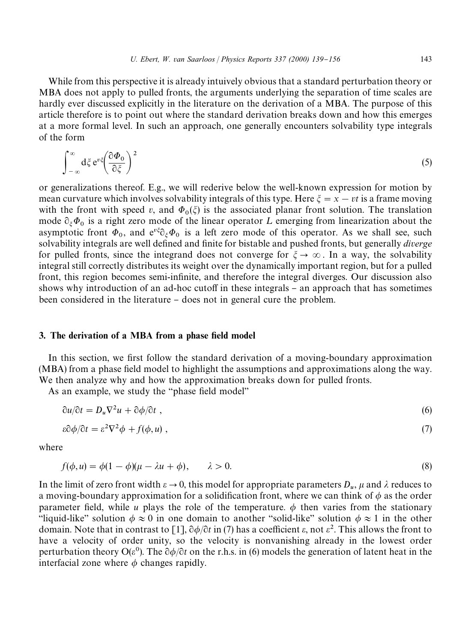While from this perspective it is already intuively obvious that a standard perturbation theory or MBA does not apply to pulled fronts, the arguments underlying the separation of time scales are hardly ever discussed explicitly in the literature on the derivation of a MBA. The purpose of this article therefore is to point out where the standard derivation breaks down and how this emerges at a more formal level. In such an approach, one generally encounters solvability type integrals of the form

$$
\int_{-\infty}^{\infty} d\xi \, e^{\nu\xi} \left(\frac{\partial \varPhi_0}{\partial \xi}\right)^2 \tag{5}
$$

or generalizations thereof. E.g., we will rederive below the well-known expression for motion by mean curvature which involves solvability integrals of this type. Here  $\xi = x - vt$  is a frame moving with the front with speed *v*, and  $\Phi_0(\xi)$  is the associated planar front solution. The translation mode  $\partial_{\xi} \Phi_0$  is a right zero mode of the linear operator L emerging from linearization about the asymptotic front  $\Phi_0$ , and  $e^{v\xi} \partial_{\xi} \Phi_0$  is a left zero mode of this operator. As we shall see, such asymptone from  $\varphi_0$ , and  $e^{i\theta}$   $\varphi_0$  is a feat zero mode of this operator. As we shall see, such solvability integrals are well defined and finite for bistable and pushed fronts, but generally *diverge* for pulled fronts, since the integrand does not converge for  $\xi \to \infty$ . In a way, the solvability integral still correctly distributes its weight over the dynamically important region, but for a pulled front, this region becomes semi-infinite, and therefore the integral diverges. Our discussion also shows why introduction of an ad-hoc cutoff in these integrals  $-$  an approach that has sometimes been considered in the literature – does not in general cure the problem.

#### 3. The derivation of a MBA from a phase field model

In this section, we first follow the standard derivation of a moving-boundary approximation (MBA) from a phase field model to highlight the assumptions and approximations along the way. We then analyze why and how the approximation breaks down for pulled fronts.

As an example, we study the "phase field model"

$$
\partial u/\partial t = D_u \nabla^2 u + \partial \phi/\partial t \tag{6}
$$

$$
\varepsilon \partial \phi / \partial t = \varepsilon^2 \nabla^2 \phi + f(\phi, u) \tag{7}
$$

where

$$
f(\phi, u) = \phi(1 - \phi)(\mu - \lambda u + \phi), \qquad \lambda > 0.
$$
\n(8)

In the limit of zero front width  $\varepsilon \to 0$ , this model for appropriate parameters  $D_u$ ,  $\mu$  and  $\lambda$  reduces to a moving-boundary approximation for a solidification front, where we can think of  $\phi$  as the order parameter field, while *u* plays the role of the temperature.  $\phi$  then varies from the stationary "liquid-like" solution  $\phi \approx 0$  in one domain to another "solid-like" solution  $\phi \approx 1$  in the other domain. Note that in contrast to [1],  $\partial \phi / \partial t$  in (7) has a coefficient  $\varepsilon$ , not  $\varepsilon^2$ . This allows the front to have a velocity of order unity, so the velocity is nonvanishing already in the lowest order perturbation theory  $O(\varepsilon^0)$ . The  $\partial \phi / \partial t$  on the r.h.s. in (6) models the generation of latent heat in the interfacial zone where  $\phi$  changes rapidly.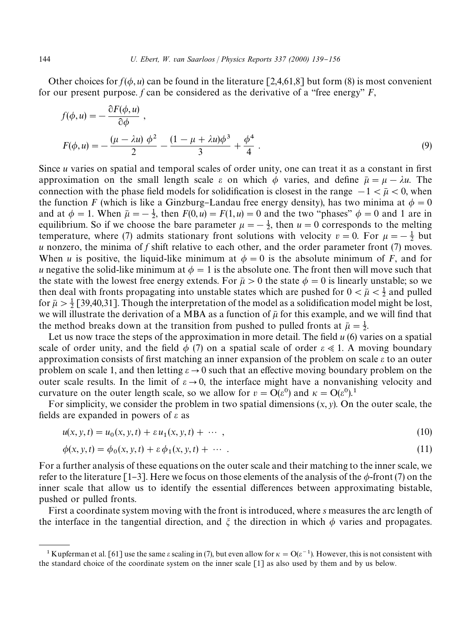Other choices for  $f(\phi, u)$  can be found in the literature [2,4,61,8] but form (8) is most convenient for our present purpose.  $f$  can be considered as the derivative of a "free energy"  $F$ ,

$$
f(\phi, u) = -\frac{\partial F(\phi, u)}{\partial \phi},
$$
  

$$
F(\phi, u) = -\frac{(\mu - \lambda u) \phi^2}{2} - \frac{(1 - \mu + \lambda u)\phi^3}{3} + \frac{\phi^4}{4}.
$$
 (9)

Since *u* varies on spatial and temporal scales of order unity, one can treat it as a constant in first approximation on the small length scale  $\varepsilon$  on which  $\phi$  varies, and define  $\bar{\mu} = \mu - \lambda u$ . The connection with the phase field models for solidification is closest in the range  $-1<\bar{\mu}<0$ , when the function *F* (which is like a Ginzburg–Landau free energy density), has two minima at  $\phi = 0$ and at  $\phi = 1$ . When  $\bar{\mu} = -\frac{1}{2}$ , then  $F(0, u) = F(1, u) = 0$  and the two "phases"  $\phi = 0$  and 1 are in equilibrium. So if we choose the bare parameter  $\mu = -\frac{1}{2}$ , then  $u = 0$  corresponds to the melting equilibrium. So if we choose the bare parameter  $\mu = -\frac{1}{2}$ , then  $u = 0$  corresponds to the melting temperature, where (7) admits stationary front solutions with velocity  $v = 0$ . For  $\mu = -\frac{1}{2}$  but *u* nonzero, the minima of *f* shift relative to each other, and the order parameter front (7) moves. When *u* is positive, the liquid-like minimum at  $\phi = 0$  is the absolute minimum of *F*, and for *u* negative the solid-like minimum at  $\phi = 1$  is the absolute one. The front then will move such that the state with the lowest free energy extends. For  $\bar{\mu} > 0$  the state  $\phi = 0$  is linearly unstable; so we then deal with fronts propagating into unstable states which are pushed for  $0 < \bar{\mu} < \frac{1}{2}$  and pulled for  $\bar{\mu} > \frac{1}{2}$  [39,40,31]. Though the interpretation of the model as a solidification model might be lost, we will illustrate the derivation of a MBA as a function of  $\bar{\mu}$  for this example, and we will find that the method breaks down at the transition from pushed to pulled fronts at  $\bar{\mu} = \frac{1}{2}$ .

E method breaks down at the transition from pushed to puned from a  $\mu = \frac{1}{2}$ .<br>Let us now trace the steps of the approximation in more detail. The field *u* (6) varies on a spatial scale of order unity, and the field  $\phi$  (7) on a spatial scale of order  $\varepsilon \ll 1$ . A moving boundary approximation consists of first matching an inner expansion of the problem on scale  $\varepsilon$  to an outer problem on scale 1, and then letting  $\varepsilon \to 0$  such that an effective moving boundary problem on the outer scale results. In the limit of  $\varepsilon \to 0$ , the interface might have a nonvanishing velocity and curvature on the outer length scale, so we allow for  $v = O(\varepsilon^0)$  and  $\kappa = O(\varepsilon^0)$ .<sup>1</sup>

For simplicity, we consider the problem in two spatial dimensions  $(x, y)$ . On the outer scale, the fields are expanded in powers of  $\varepsilon$  as

$$
u(x, y, t) = u_0(x, y, t) + \varepsilon u_1(x, y, t) + \cdots,
$$
\n(10)

$$
\phi(x, y, t) = \phi_0(x, y, t) + \varepsilon \phi_1(x, y, t) + \cdots
$$
\n(11)

For a further analysis of these equations on the outer scale and their matching to the inner scale, we refer to the literature  $\lceil 1-3 \rceil$ . Here we focus on those elements of the analysis of the  $\phi$ -front (7) on the inner scale that allow us to identify the essential differences between approximating bistable, pushed or pulled fronts.

First a coordinate system moving with the front is introduced, where *s* measures the arc length of the interface in the tangential direction, and  $\xi$  the direction in which  $\phi$  varies and propagates.

<sup>&</sup>lt;sup>1</sup> Kupferman et al. [61] use the same  $\varepsilon$  scaling in (7), but even allow for  $\kappa = O(\varepsilon^{-1})$ . However, this is not consistent with the standard choice of the coordinate system on the inner scale [1] as also used by them and by us below.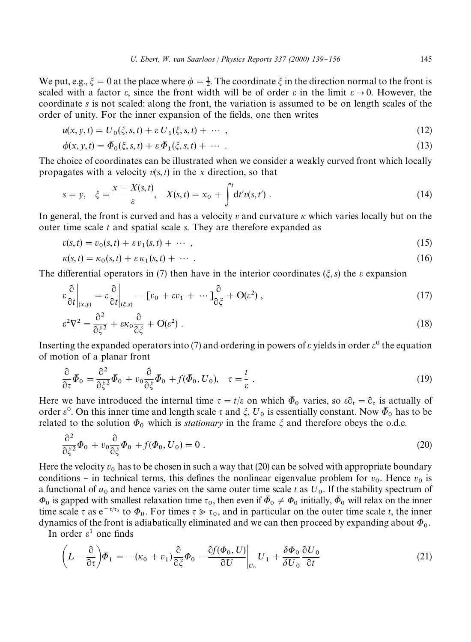$$
u(x, y, t) = U_0(\xi, s, t) + \varepsilon U_1(\xi, s, t) + \cdots,
$$
\n(12)

$$
\phi(x, y, t) = \overline{\Phi}_0(\xi, s, t) + \varepsilon \overline{\Phi}_1(\xi, s, t) + \cdots
$$
\n(13)

The choice of coordinates can be illustrated when we consider a weakly curved front which locally propagates with a velocity  $v(s, t)$  in the *x* direction, so that

$$
s = y, \quad \xi = \frac{x - X(s, t)}{\varepsilon}, \quad X(s, t) = x_0 + \int_0^t dt' v(s, t'). \tag{14}
$$

In general, the front is curved and has a velocity  $v$  and curvature  $\kappa$  which varies locally but on the outer time scale *t* and spatial scale *s*. They are therefore expanded as

$$
v(s,t) = v_0(s,t) + \varepsilon v_1(s,t) + \cdots \t{,} \t(15)
$$

$$
\kappa(s,t) = \kappa_0(s,t) + \varepsilon \kappa_1(s,t) + \cdots \tag{16}
$$

The differential operators in (7) then have in the interior coordinates  $(\xi, s)$  the  $\varepsilon$  expansion

$$
\varepsilon \frac{\partial}{\partial t}\bigg|_{(x,y)} = \varepsilon \frac{\partial}{\partial t}\bigg|_{(\xi,s)} - [v_0 + \varepsilon v_1 + \cdots] \frac{\partial}{\partial \xi} + O(\varepsilon^2) ,\qquad (17)
$$

$$
\varepsilon^2 \nabla^2 = \frac{\partial^2}{\partial \xi^2} + \varepsilon \kappa_0 \frac{\partial}{\partial \xi} + O(\varepsilon^2) \tag{18}
$$

Inserting the expanded operators into (7) and ordering in powers of  $\varepsilon$  yields in order  $\varepsilon^0$  the equation of motion of a planar front

$$
\frac{\partial}{\partial \tau} \bar{\Phi}_0 = \frac{\partial^2}{\partial \xi^2} \bar{\Phi}_0 + v_0 \frac{\partial}{\partial \xi} \bar{\Phi}_0 + f(\bar{\Phi}_0, U_0), \quad \tau = \frac{t}{\varepsilon} \ . \tag{19}
$$

Here we have introduced the internal time  $\tau = t/\varepsilon$  on which  $\bar{\Phi}_0$  varies, so  $\varepsilon \partial_t = \partial_{\tau}$  is actually of end  $\eta$ . On this inner time and length scale  $\tau$  and  $\varepsilon$  II, is accontiguity constant. Now  $\bar{\Phi}_0$  has order  $\varepsilon^0$ . On this inner time and length scale  $\tau$  and  $\xi$ ,  $U_0$  is essentially constant. Now  $\bar{\Phi}_0$  has to be related to the solution  $\Phi_0$  which is *stationary* in the frame  $\xi$  and therefore obeys the o.d.e.

$$
\frac{\partial^2}{\partial \xi^2} \Phi_0 + v_0 \frac{\partial}{\partial \xi} \Phi_0 + f(\Phi_0, U_0) = 0.
$$
\n(20)

Here the velocity  $v_0$  has to be chosen in such a way that (20) can be solved with appropriate boundary conditions – in technical terms, this defines the nonlinear eigenvalue problem for  $v_0$ . Hence  $v_0$  is conditions – in technical terms, this defines the nonlinear eigenvalue problem for  $v_0$ . Hence  $v_0$  is<br>a functional of  $u_0$  and hence varies on the same outer time scale *t* as  $U_0$ . If the stability spectrum of  $\Phi_0$  is gapped with smallest relaxation time  $\tau_0$ , then even if  $\bar{\Phi}_0 \neq \Phi_0$  initially,  $\bar{\Phi}_0$  will relax on the inner time scale  $\tau$  as  $e^{-\tau/\tau_0}$  to  $\Phi_0$ . For times  $\tau \gg \tau_0$ , and in particular on the outer time scale *t*, the inner dynamics of the front is adiabatically eliminated and we can then proceed by expanding about  $\Phi_0$ . In order  $\varepsilon^1$  one finds

$$
\left(L - \frac{\partial}{\partial \tau}\right) \bar{\Phi}_1 = -(\kappa_0 + v_1) \frac{\partial}{\partial \xi} \Phi_0 - \frac{\partial f(\Phi_0, U)}{\partial U} \bigg|_{U_0} U_1 + \frac{\delta \Phi_0}{\delta U_0} \frac{\partial U_0}{\partial t}
$$
\n(21)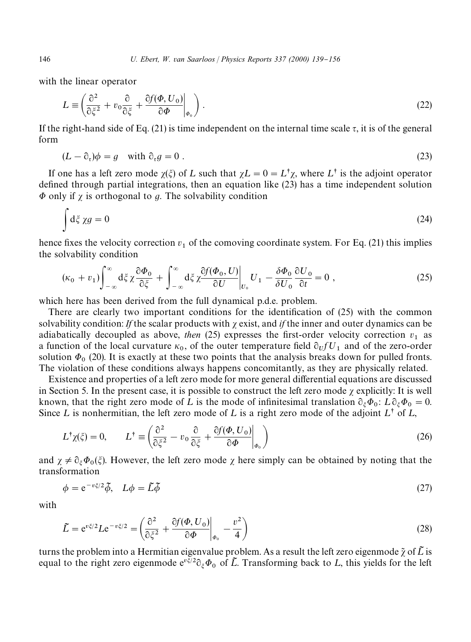with the linear operator

$$
L \equiv \left( \frac{\partial^2}{\partial \xi^2} + v_0 \frac{\partial}{\partial \xi} + \frac{\partial f(\Phi, U_0)}{\partial \Phi} \bigg|_{\Phi_0} \right). \tag{22}
$$

If the right-hand side of Eq. (21) is time independent on the internal time scale  $\tau$ , it is of the general form

$$
(L - \partial_{\tau})\phi = g \quad \text{with } \partial_{\tau}g = 0 \tag{23}
$$

If one has a left zero mode  $\chi(\xi)$  of L such that  $\chi L = 0 = L^{\dagger} \chi$ , where  $L^{\dagger}$  is the adjoint operator defined through partial integrations, then an equation like (23) has a time independent solution  $\Phi$  only if  $\chi$  is orthogonal to g. The solvability condition

$$
\int d\xi \chi g = 0 \tag{24}
$$

hence fixes the velocity correction  $v_1$  of the comoving coordinate system. For Eq. (21) this implies the solvability condition

$$
(\kappa_0 + v_1) \int_{-\infty}^{\infty} d\xi \chi \frac{\partial \Phi_0}{\partial \xi} + \int_{-\infty}^{\infty} d\xi \chi \frac{\partial f(\Phi_0, U)}{\partial U} \bigg|_{U_0} U_1 - \frac{\delta \Phi_0}{\delta U_0} \frac{\partial U_0}{\partial t} = 0 , \qquad (25)
$$

which here has been derived from the full dynamical p.d.e. problem.

There are clearly two important conditions for the identification of  $(25)$  with the common solvability condition: *If* the scalar products with  $\chi$  exist, and *if* the inner and outer dynamics can be adiabatically decoupled as above, *then* (25) expresses the first-order velocity correction  $v_1$  as a function of the local curvature  $\kappa_0$ , of the outer temperature field  $\partial_U f U_1$  and of the zero-order a function of the local curvature  $\kappa_0$ , of the other temperature field  $\sigma_U$ ,  $\sigma_1$  and of the zero-order solution  $\Phi_0$  (20). It is exactly at these two points that the analysis breaks down for pulled fronts. The violation of these conditions always happens concomitantly, as they are physically related.

Existence and properties of a left zero mode for more general differential equations are discussed in Section 5. In the present case, it is possible to construct the left zero mode  $\chi$  explicitly: It is well known, that the right zero mode of L is the mode of infinitesimal translation  $\partial_{\xi} \Phi_0$ :  $L \partial_{\xi} \Phi_0 = 0$ . Since L is nonhermitian, the left zero mode of L is a right zero mode of the adjoint  $L^{\dagger}$  of L,

$$
L^{\dagger} \chi(\xi) = 0, \qquad L^{\dagger} \equiv \left( \frac{\partial^2}{\partial \xi^2} - v_0 \frac{\partial}{\partial \xi} + \frac{\partial f(\Phi, U_0)}{\partial \Phi} \bigg|_{\Phi_0} \right) \tag{26}
$$

and  $\chi \neq \partial_{\xi} \Phi_0(\xi)$ . However, the left zero mode  $\chi$  here simply can be obtained by noting that the  $\lim_{\epsilon \to 0} \epsilon \neq 0$ 

$$
\phi = e^{-\nu \xi/2} \tilde{\phi}, \quad L\phi = \tilde{L}\tilde{\phi} \tag{27}
$$

with

$$
\tilde{L} = e^{\nu \xi/2} L e^{-\nu \xi/2} = \left( \frac{\partial^2}{\partial \xi^2} + \frac{\partial f(\Phi, U_0)}{\partial \Phi} \bigg|_{\Phi_0} - \frac{\nu^2}{4} \right)
$$
(28)

turns the problem into a Hermitian eigenvalue problem. As a result the left zero eigenmode  $\tilde{\chi}$  of  $\tilde{L}$  is equal to the right zero eigenmode  $e^{v\xi/2}\partial_{\xi}\Phi_0$  of  $\tilde{L}$ . Transforming back to L, this yields for the left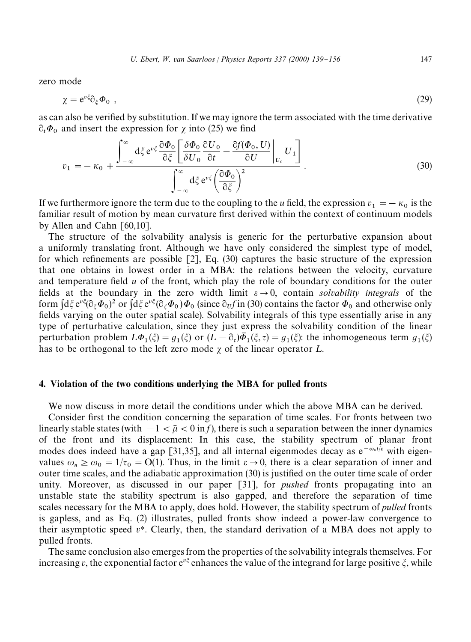zero mode

$$
\chi = e^{\nu \xi} \partial_{\xi} \Phi_0 \tag{29}
$$

as can also be verified by substitution. If we may ignore the term associated with the time derivative  $\partial_t \Phi_0$  and insert the expression for  $\chi$  into (25) we find

$$
v_1 = -\kappa_0 + \frac{\int_{-\infty}^{\infty} d\xi e^{\nu\xi} \frac{\partial \Phi_0}{\partial \xi} \left[ \frac{\delta \Phi_0}{\delta U_0} \frac{\partial U_0}{\partial t} - \frac{\partial f(\Phi_0, U)}{\partial U} \Big|_{U_0} U_1 \right]}{\int_{-\infty}^{\infty} d\xi e^{\nu\xi} \left( \frac{\partial \Phi_0}{\partial \xi} \right)^2}.
$$
(30)

If we furthermore ignore the term due to the coupling to the *u* field, the expression  $v_1 = -\kappa_0$  is the If we furthermore ignore the term due to the coupling to the *u* held, the expression  $v_1 = -\kappa_0$  is the familiar result of motion by mean curvature first derived within the context of continuum models by Allen and Cahn [60,10].

The structure of the solvability analysis is generic for the perturbative expansion about a uniformly translating front. Although we have only considered the simplest type of model, for which refinements are possible  $[2]$ , Eq. (30) captures the basic structure of the expression that one obtains in lowest order in a MBA: the relations between the velocity, curvature and temperature field  $u$  of the front, which play the role of boundary conditions for the outer fields at the boundary in the zero width limit  $\varepsilon \rightarrow 0$ , contain *solvability integrals* of the form  $\int d\xi e^{\nu\xi} (\partial_{\xi} \Phi_0)^2$  or  $\int d\xi e^{\nu\xi} (\partial_{\xi} \Phi_0) \Phi_0$  (since  $\partial_U f$  in (30) contains the factor  $\Phi_0$  and otherwise only fields varying on the outer spatial scale). Solvability integrals of this type essentially arise in any fields varying on the outer spatial scale). Solvability integrals of this type essentially arise in any type of perturbative calculation, since they just express the solvability condition of the linear perturbation problem  $L\Phi_1(\xi) = g_1(\xi)$  or  $(L - \partial_{\tau})\overline{\Phi}_1(\xi, \tau) = g_1(\xi)$ : the inhomogeneous term  $g_1(\xi)$ betturbation problem  $L\Psi_1(\zeta) = g_1(\zeta)$  or  $(L - \upsilon_t)\Psi_1(\zeta, \upsilon) = g_1(\zeta)$ , the has to be orthogonal to the left zero mode  $\chi$  of the linear operator L.

#### 4. Violation of the two conditions underlying the MBA for pulled fronts

We now discuss in more detail the conditions under which the above MBA can be derived.

Consider first the condition concerning the separation of time scales. For fronts between two linearly stable states (with  $-1 < \bar{\mu} < 0$  in *f*), there is such a separation between the inner dynamics of the front and its displacement: In this case, the stability spectrum of planar front modes does indeed have a gap [31,35], and all internal eigenmodes decay as  $e^{-\omega_n t/\varepsilon}$  with eigenvalues  $\omega_n \ge \omega_0 = 1/\tau_0 = O(1)$ . Thus, in the limit  $\varepsilon \to 0$ , there is a clear separation of inner and outer time scales, and the adiabatic approximation (30) is justified on the outer time scale of order unity. Moreover, as discussed in our paper [31], for *pushed* fronts propagating into an unstable state the stability spectrum is also gapped, and therefore the separation of time scales necessary for the MBA to apply, does hold. However, the stability spectrum of *pulled* fronts is gapless, and as Eq. (2) illustrates, pulled fronts show indeed a power-law convergence to their asymptotic speed  $v^*$ . Clearly, then, the standard derivation of a MBA does not apply to pulled fronts.

The same conclusion also emerges from the properties of the solvability integrals themselves. For increasing *v*, the exponential factor  $e^{v\xi}$  enhances the value of the integrand for large positive  $\xi$ , while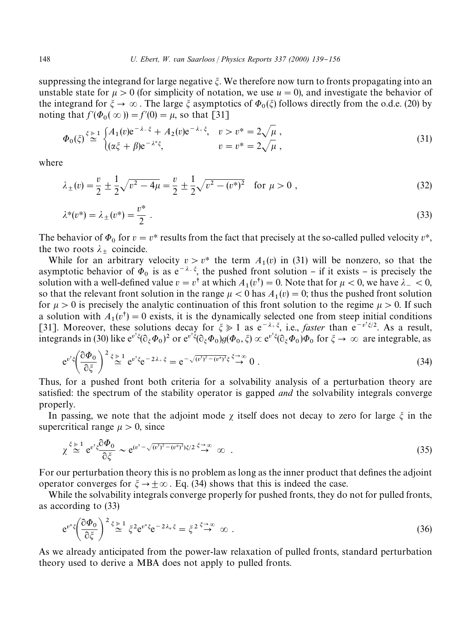suppressing the integrand for large negative  $\xi$ . We therefore now turn to fronts propagating into an unstable state for  $\mu > 0$  (for simplicity of notation, we use  $u = 0$ ), and investigate the behavior of the integrand for  $\xi \to \infty$ . The large  $\xi$  asymptotics of  $\Phi_0(\xi)$  follows directly from the o.d.e. (20) by noting that  $f'(\Phi_0(\infty)) = f'(0) = \mu$ , so that [31]

$$
\Phi_0(\xi) \stackrel{\xi \ge 1}{\simeq} \begin{cases} A_1(v) e^{-\lambda_{-} \xi} + A_2(v) e^{-\lambda_{+} \xi}, & v > v^* = 2\sqrt{\mu} ,\\ (\alpha \xi + \beta) e^{-\lambda^{*} \xi}, & v = v^* = 2\sqrt{\mu} , \end{cases}
$$
\n(31)

where

$$
\lambda_{\pm}(v) = \frac{v}{2} \pm \frac{1}{2} \sqrt{v^2 - 4\mu} = \frac{v}{2} \pm \frac{1}{2} \sqrt{v^2 - (v^*)^2} \quad \text{for } \mu > 0 ,
$$
\n(32)

$$
\lambda^*(v^*) = \lambda_{\pm}(v^*) = \frac{v^*}{2} \tag{33}
$$

The behavior of  $\Phi_0$  for  $v = v^*$  results from the fact that precisely at the so-called pulled velocity  $v^*$ , the two roots  $\lambda_{\pm}$  coincide.

While for an arbitrary velocity  $v > v^*$  the term  $A_1(v)$  in (31) will be nonzero, so that the asymptotic behavior of  $\Phi_0$  is as  $e^{-\lambda \xi}$ , the pushed front solution – if it exists – is precisely the solution with a well-defined value  $v = v^{\dagger}$  at which  $A_1(v^{\dagger}) = 0$ . Note that for  $\mu < 0$ , we have  $\lambda = < 0$ , so that the relevant front solution in the range  $\mu < 0$  has  $A_1(v) = 0$ ; thus the pushed front solution for  $\mu > 0$  is precisely the analytic continuation of this front solution to the regime  $\mu > 0$ . If such a solution with  $A_1(v^{\dagger}) = 0$  exists, it is the dynamically selected one from steep initial conditions [31]. Moreover, these solutions decay for  $\xi \ge 1$  as  $e^{-\lambda_+ \xi}$ , i.e., *faster* than  $e^{-v^{\dagger} \xi/2}$ . As a result, integrands in (30) like  $e^{v^*\xi}(\partial_{\xi}\Phi_0)^2$  or  $e^{v^*\xi}(\partial_{\xi}\Phi_0)g(\Phi_0,\xi) \propto e^{v^*\xi}(\partial_{\xi}\Phi_0)\Phi_0$  for  $\xi \to \infty$  are integrable, as

$$
e^{v^{\dagger}\xi} \left(\frac{\partial \Phi_0}{\partial \xi}\right)^2 \stackrel{\xi \gg 1}{\simeq} e^{v^{\dagger}\xi} e^{-2\lambda_+ \xi} = e^{-\sqrt{(v^{\dagger})^2 - (v^*)^2} \xi} \stackrel{\xi \to \infty}{\to} 0 \tag{34}
$$

Thus, for a pushed front both criteria for a solvability analysis of a perturbation theory are satisfied: the spectrum of the stability operator is gapped *and* the solvability integrals converge properly.

In passing, we note that the adjoint mode  $\chi$  itself does not decay to zero for large  $\xi$  in the supercritical range  $\mu > 0$ , since

$$
\chi \stackrel{\xi \geq 1}{\simeq} e^{v^{\dagger} \xi} \frac{\partial \Phi_0}{\partial \xi} \sim e^{(v^{\dagger} - \sqrt{(v^{\dagger})^2 - (v^{\ast})^2}) \xi/2} \stackrel{\xi \to \infty}{\to} \infty .
$$
\n(35)

For our perturbation theory this is no problem as long as the inner product that defines the adjoint operator converges for  $\xi \rightarrow +\infty$ . Eq. (34) shows that this is indeed the case.

While the solvability integrals converge properly for pushed fronts, they do not for pulled fronts, as according to (33)

$$
e^{v^*\xi} \left(\frac{\partial \Phi_0}{\partial \xi}\right)^2 \stackrel{\xi \gg 1}{\simeq} \xi^2 e^{v^*\xi} e^{-2\lambda_*\xi} = \xi^{2\xi} \stackrel{\xi \to \infty}{\to} \infty \quad . \tag{36}
$$

As we already anticipated from the power-law relaxation of pulled fronts, standard perturbation theory used to derive a MBA does not apply to pulled fronts.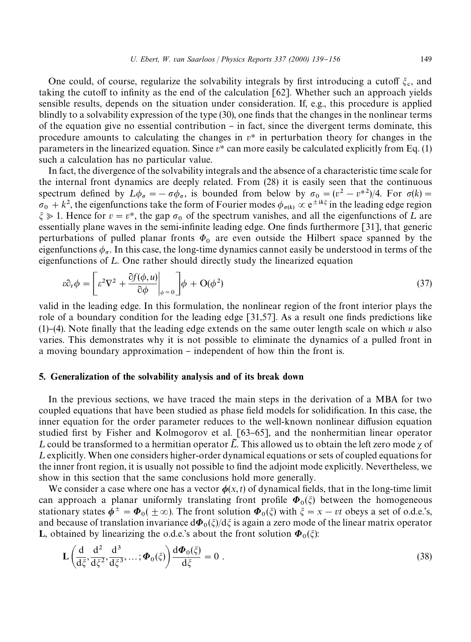One could, of course, regularize the solvability integrals by first introducing a cutoff  $\xi_c$ , and taking the cutoff to infinity as the end of the calculation  $[62]$ . Whether such an approach yields sensible results, depends on the situation under consideration. If, e.g., this procedure is applied blindly to a solvability expression of the type (30), one finds that the changes in the nonlinear terms of the equation give no essential contribution  $-$  in fact, since the divergent terms dominate, this procedure amounts to calculating the changes in  $v^*$  in perturbation theory for changes in the parameters in the linearized equation. Since  $v^*$  can more easily be calculated explicitly from Eq. (1) such a calculation has no particular value.

In fact, the divergence of the solvability integrals and the absence of a characteristic time scale for the internal front dynamics are deeply related. From (28) it is easily seen that the continuous spectrum defined by  $L\phi_{\sigma} = -\sigma\phi_{\sigma}$ , is bounded from below by  $\sigma_0 = (v^2 - v^{*2})/4$ . For  $\sigma(k) =$  $\begin{matrix} 0 \\ -1 \end{matrix}$  $\sigma_0 + k^2$ , the eigenfunctions take the form of Fourier modes  $\phi_{\sigma(k)} \propto e^{\pm ik\xi}$  in the leading edge region  $\xi \gg 1$ . Hence for  $v = v^*$ , the gap  $\sigma_0$  of the spectrum vanishes, and all the eigenfunctions of L are essentially plane waves in the semi-infinite leading edge. One finds furthermore [31], that generic perturbations of pulled planar fronts  $\Phi_0$  are even outside the Hilbert space spanned by the eigenfunctions  $\phi_{\sigma}$ . In this case, the long-time dynamics cannot easily be understood in terms of the eigenfunctions of  $I_{\rm c}$ . One rather should directly study the linearized equation. eigenfunctions of  $L$ . One rather should directly study the linearized equation

$$
\varepsilon \partial_t \phi = \left[ \varepsilon^2 \nabla^2 + \frac{\partial f(\phi, u)}{\partial \phi} \bigg|_{\phi = 0} \right] \phi + \mathcal{O}(\phi^2)
$$
\n(37)

valid in the leading edge. In this formulation, the nonlinear region of the front interior plays the role of a boundary condition for the leading edge  $[31,57]$ . As a result one finds predictions like  $(1)$ –(4). Note finally that the leading edge extends on the same outer length scale on which *u* also varies. This demonstrates why it is not possible to eliminate the dynamics of a pulled front in a moving boundary approximation – independent of how thin the front is.

#### 5. Generalization of the solvability analysis and of its break down

In the previous sections, we have traced the main steps in the derivation of a MBA for two coupled equations that have been studied as phase field models for solidification. In this case, the inner equation for the order parameter reduces to the well-known nonlinear diffusion equation studied first by Fisher and Kolmogorov et al.  $[63-65]$ , and the nonhermitian linear operator L could be transformed to a hermitian operator  $\tilde{L}$ . This allowed us to obtain the left zero mode  $\gamma$  of L explicitly. When one considers higher-order dynamical equations or sets of coupled equations for the inner front region, it is usually not possible to find the adjoint mode explicitly. Nevertheless, we show in this section that the same conclusions hold more generally.

We consider a case where one has a vector  $\phi(x, t)$  of dynamical fields, that in the long-time limit can approach a planar uniformly translating front profile  $\Phi_0(\xi)$  between the homogeneous stationary states  $\vec{\phi}^{\pm} = \Phi_0(\pm \infty)$ . The front solution  $\vec{\Phi}_0(\xi)$  with  $\xi = x - vt$  obeys a set of o.d.e.'s, and because of translation invariance  $d\Phi_0(\xi)/d\xi$  is again a zero mode of the linear matrix operator L, obtained by linearizing the o.d.e.'s about the front solution  $\Phi_0(\zeta)$ :

$$
\mathbf{L}\left(\frac{\mathrm{d}}{\mathrm{d}\xi},\frac{\mathrm{d}^2}{\mathrm{d}\xi^2},\frac{\mathrm{d}^3}{\mathrm{d}\xi^3},\dots;\boldsymbol{\Phi}_0(\xi)\right)\frac{\mathrm{d}\boldsymbol{\Phi}_0(\xi)}{\mathrm{d}\xi}=0\ .
$$
\n(38)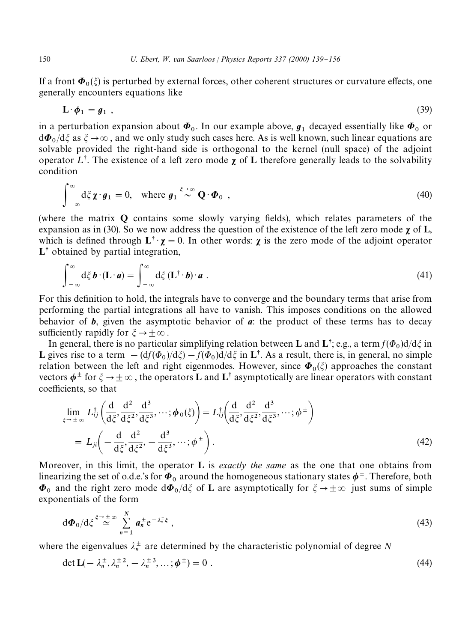If a front  $\Phi_0(\xi)$  is perturbed by external forces, other coherent structures or curvature effects, one generally encounters equations like

$$
\mathbf{L} \cdot \boldsymbol{\phi}_1 = \boldsymbol{g}_1 \tag{39}
$$

in a perturbation expansion about  $\Phi_0$ . In our example above,  $g_1$  decayed essentially like  $\Phi_0$  or  $d\Phi_0/d\xi$  as  $\xi \to \infty$ , and we only study such cases here. As is well known, such linear equations are solvable provided the right-hand side is orthogonal to the kernel (null space) of the adjoint operator  $L^{\dagger}$ . The existence of a left zero mode  $\gamma$  of L therefore generally leads to the solvability condition

$$
\int_{-\infty}^{\infty} d\xi \chi \cdot g_1 = 0, \text{ where } g_1 \stackrel{\xi \to \infty}{\sim} \mathbf{Q} \cdot \Phi_0 ,
$$
\n(40)

(where the matrix  $Q$  contains some slowly varying fields), which relates parameters of the expansion as in (30). So we now address the question of the existence of the left zero mode *v* of L, which is defined through  $L^{\dagger} \cdot \chi = 0$ . In other words:  $\chi$  is the zero mode of the adjoint operator  $L^{\dagger}$  obtained by partial integration,

$$
\int_{-\infty}^{\infty} d\xi \, \boldsymbol{b} \cdot (\mathbf{L} \cdot \boldsymbol{a}) = \int_{-\infty}^{\infty} d\xi \, (\mathbf{L}^{\dagger} \cdot \boldsymbol{b}) \cdot \boldsymbol{a} \; . \tag{41}
$$

For this definition to hold, the integrals have to converge and the boundary terms that arise from performing the partial integrations all have to vanish. This imposes conditions on the allowed behavior of *b*, given the asymptotic behavior of *a*: the product of these terms has to decay sufficiently rapidly for  $\xi \to \pm \infty$ .

In general, there is no particular simplifying relation between **L** and **L**<sup>†</sup>; e.g., a term  $f(\Phi_0)d/d\xi$  in L gives rise to a term  $-(df(\Phi_0)/d\xi) - f(\Phi_0)d/d\xi$  in L<sup>†</sup>. As a result, there is, in general, no simple relation between the left and right eigenmodes. However, since  $\Phi_0(\xi)$  approaches the constant vectors  $\phi^{\pm}$  for  $\xi \to \pm \infty$ , the operators **L** and **L**<sup>†</sup> asymptotically are linear operators with constant coefficients, so that

$$
\lim_{\xi \to \pm \infty} L_{ij}^{\dagger} \left( \frac{\mathrm{d}}{\mathrm{d}\xi}, \frac{\mathrm{d}^2}{\mathrm{d}\xi^2}, \frac{\mathrm{d}^3}{\mathrm{d}\xi^3}, \cdots; \boldsymbol{\phi}_0(\xi) \right) = L_{ij}^{\dagger} \left( \frac{\mathrm{d}}{\mathrm{d}\xi}, \frac{\mathrm{d}^2}{\mathrm{d}\xi^2}, \frac{\mathrm{d}^3}{\mathrm{d}\xi^3}, \cdots; \boldsymbol{\phi}^{\pm} \right) \n= L_{ji} \left( -\frac{\mathrm{d}}{\mathrm{d}\xi}, \frac{\mathrm{d}^2}{\mathrm{d}\xi^2}, -\frac{\mathrm{d}^3}{\mathrm{d}\xi^3}, \cdots; \boldsymbol{\phi}^{\pm} \right).
$$
\n(42)

Moreover, in this limit, the operator L is *exactly the same* as the one that one obtains from linearizing the set of o.d.e.'s for  $\Phi_0$  around the homogeneous stationary states  $\phi^{\pm}$ . Therefore, both  $\Phi_0$  and the right zero mode  $d\Phi_0/d\xi$  of **L** are asymptotically for  $\xi \to \pm \infty$  just sums of simple exponentials of the form

$$
d\Phi_0/d\xi^{\xi \to \pm \infty} \sum_{n=1}^N a_n^{\pm} e^{-\lambda_n^{\pm} \xi} , \qquad (43)
$$

where the eigenvalues  $\lambda_n^{\pm}$  are determined by the characteristic polynomial of degree *N* 

$$
\det \mathbf{L}(-\lambda_n^{\pm}, \lambda_n^{\pm 2}, -\lambda_n^{\pm 3}, \dots; \boldsymbol{\phi}^{\pm}) = 0.
$$
 (44)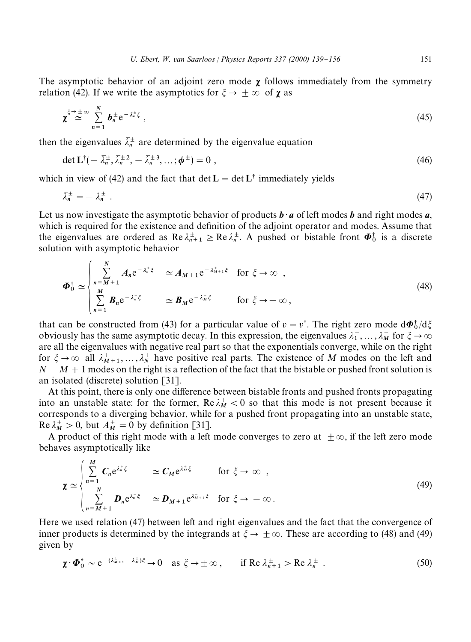The asymptotic behavior of an adjoint zero mode  $\gamma$  follows immediately from the symmetry relation (42). If we write the asymptotics for  $\xi \to \pm \infty$  of  $\chi$  as

$$
\chi \stackrel{\xi \to \pm \infty}{\simeq} \sum_{n=1}^N b_n^{\pm} e^{-\bar{\lambda}_n^{\pm} \xi} \ , \tag{45}
$$

then the eigenvalues  $\bar{\lambda}_n^{\pm}$  are determined by the eigenvalue equation

$$
\det \mathbf{L}^{\dagger}(-\bar{\lambda}_n^{\pm}, \bar{\lambda}_n^{\pm 2}, -\bar{\lambda}_n^{\pm 3}, \dots; \phi^{\pm}) = 0 , \qquad (46)
$$

which in view of (42) and the fact that det  $L = \det L^{\dagger}$  immediately yields

$$
\bar{\lambda}_n^{\pm} = -\lambda_n^{\pm} \tag{47}
$$

Let us now investigate the asymptotic behavior of products  $\mathbf{b} \cdot \mathbf{a}$  of left modes  $\mathbf{b}$  and right modes  $\mathbf{a}$ , which is required for the existence and definition of the adjoint operator and modes. Assume that the eigenvalues are ordered as  $\text{Re }\lambda_{n+1}^{\pm} \geq \text{Re }\lambda_n^{\pm}$ . A pushed or bistable front  $\Phi_0^{\dagger}$  is a discrete solution with asymptotic behavior

$$
\Phi_0^{\dagger} \simeq \begin{cases} \sum_{n=M+1}^{N} A_n e^{-\lambda_n^+ \xi} & \simeq A_{M+1} e^{-\lambda_{M+1}^+ \xi} \quad \text{for } \xi \to \infty, \\ \sum_{n=1}^{M} B_n e^{-\lambda_n^- \xi} & \simeq B_M e^{-\lambda_M^- \xi} \quad \text{for } \xi \to -\infty, \end{cases} \tag{48}
$$

that can be constructed from (43) for a particular value of  $v = v^{\dagger}$ . The right zero mode  $d\Phi_0^{\dagger}/d\xi$ obviously has the same asymptotic decay. In this expression, the eigenvalues  $\lambda_1^-$ ,  $\ldots$ ,  $\lambda_M^-$  for  $\xi \to \infty$ are all the eigenvalues with negative real part so that the exponentials converge, while on the right for  $\xi \to \infty$  all  $\lambda_{M+1}^+$ ,  $\ldots, \lambda_N^+$  have positive real parts. The existence of *M* modes on the left and  $N - M + 1$  modes on the right is a reflection of the fact that the bistable or pushed front solution is an isolated (discrete) solution [31].

At this point, there is only one difference between bistable fronts and pushed fronts propagating into an unstable state: for the former,  $\text{Re }\lambda_M^+ < 0$  so that this mode is not present because it corresponds to a diverging behavior, while for a pushed front propagating into an unstable state, Re  $\lambda_M^+ > 0$ , but  $A_M^+ = 0$  by definition [31].

A product of this right mode with a left mode converges to zero at  $\pm \infty$ , if the left zero mode behaves asymptotically like

$$
\chi \simeq \begin{cases} \sum_{n=1}^{M} C_n e^{\lambda_n^+ \xi} & \simeq C_M e^{\lambda_M^+ \xi} & \text{for } \xi \to \infty, \\ \sum_{n=M+1}^{N} D_n e^{\lambda_n^- \xi} & \simeq D_{M+1} e^{\lambda_{M+1}^- \xi} & \text{for } \xi \to -\infty. \end{cases} \tag{49}
$$

Here we used relation (47) between left and right eigenvalues and the fact that the convergence of inner products is determined by the integrands at  $\xi \to \pm \infty$ . These are according to (48) and (49) given by

$$
\chi \cdot \Phi_0^{\dagger} \sim e^{-(\lambda_{M+1}^{\pm} - \lambda_M^{\pm})\xi} \to 0 \quad \text{as } \xi \to \pm \infty , \qquad \text{if } \text{Re } \lambda_{n+1}^{\pm} > \text{Re } \lambda_n^{\pm} . \tag{50}
$$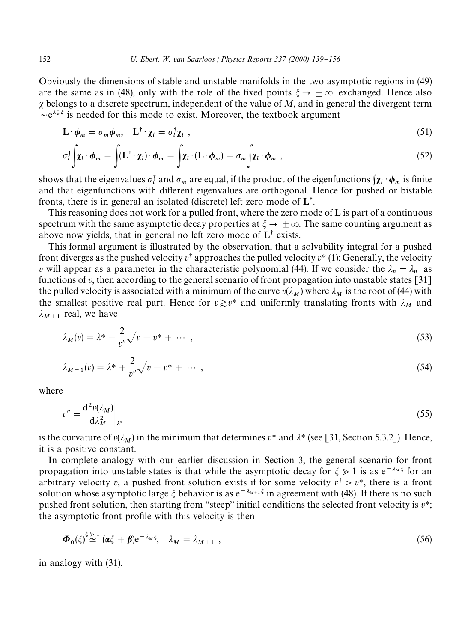Obviously the dimensions of stable and unstable manifolds in the two asymptotic regions in (49) are the same as in (48), only with the role of the fixed points  $\xi \to \pm \infty$  exchanged. Hence also  $\gamma$  belongs to a discrete spectrum, independent of the value of *M*, and in general the divergent term  $\sim e^{\lambda_M^+ \xi}$  is needed for this mode to exist. Moreover, the textbook argument

$$
\mathbf{L} \cdot \boldsymbol{\phi}_m = \sigma_m \boldsymbol{\phi}_m, \quad \mathbf{L}^\dagger \cdot \boldsymbol{\chi}_l = \sigma_l^\dagger \boldsymbol{\chi}_l \tag{51}
$$

$$
\sigma_l^{\dagger} \int \chi_l \cdot \phi_m = \int (\mathbf{L}^{\dagger} \cdot \chi_l) \cdot \phi_m = \int \chi_l \cdot (\mathbf{L} \cdot \phi_m) = \sigma_m \int \chi_l \cdot \phi_m , \qquad (52)
$$

shows that the eigenvalues  $\sigma_l^{\dagger}$  and  $\sigma_m$  are equal, if the product of the eigenfunctions  $\int \chi_l \cdot \phi_m$  is finite and that eigenfunctions with different eigenvalues are orthogonal. Hence for pushed or bistable fronts, there is in general an isolated (discrete) left zero mode of  $L^{\dagger}$ .

This reasoning does not work for a pulled front, where the zero mode of L is part of a continuous spectrum with the same asymptotic decay properties at  $\xi \to \pm \infty$ . The same counting argument as above now yields, that in general no left zero mode of  $L^{\dagger}$  exists.

This formal argument is illustrated by the observation, that a solvability integral for a pushed front diverges as the pushed velocity  $v^{\dagger}$  approaches the pulled velocity  $v^*(1)$ : Generally, the velocity *v* will appear as a parameter in the characteristic polynomial (44). If we consider the  $\lambda_n = \lambda_n^+$  as functions of *v*, then according to the general scenario of front propagation into unstable states [31] the pulled velocity is associated with a minimum of the curve  $v(\lambda_M)$  where  $\lambda_M$  is the root of (44) with the smallest positive real part. Hence for  $v \gtrsim v^*$  and uniformly translating fronts with  $\lambda_M$  and  $\lambda_{M+1}$  real, we have

$$
\lambda_M(v) = \lambda^* - \frac{2}{v''} \sqrt{v - v^*} + \cdots \tag{53}
$$

$$
\lambda_{M+1}(v) = \lambda^* + \frac{2}{v''} \sqrt{v - v^*} + \cdots, \qquad (54)
$$

where

$$
v'' = \frac{\mathrm{d}^2 v(\lambda_M)}{\mathrm{d}\lambda_M^2}\bigg|_{\lambda^*} \tag{55}
$$

is the curvature of  $v(\lambda_M)$  in the minimum that determines  $v^*$  and  $\lambda^*$  (see [31, Section 5.3.2]). Hence, it is a positive constant.

In complete analogy with our earlier discussion in Section 3, the general scenario for front propagation into unstable states is that while the asymptotic decay for  $\xi \geq 1$  is as  $e^{-\lambda_M \xi}$  for an arbitrary velocity *v*, a pushed front solution exists if for some velocity  $v^{\dagger} > v^*$ , there is a front solution whose asymptotic large  $\xi$  behavior is as  $e^{-\lambda_{M+1}\xi}$  in agreement with (48). If there is no such pushed front solution, then starting from "steep" initial conditions the selected front velocity is  $v^*$ ; the asymptotic front profile with this velocity is then

$$
\Phi_0(\zeta)^{\zeta} \stackrel{\geq}{\simeq} (\alpha \zeta + \beta) e^{-\lambda_M \zeta}, \quad \lambda_M = \lambda_{M+1} \ , \tag{56}
$$

in analogy with (31).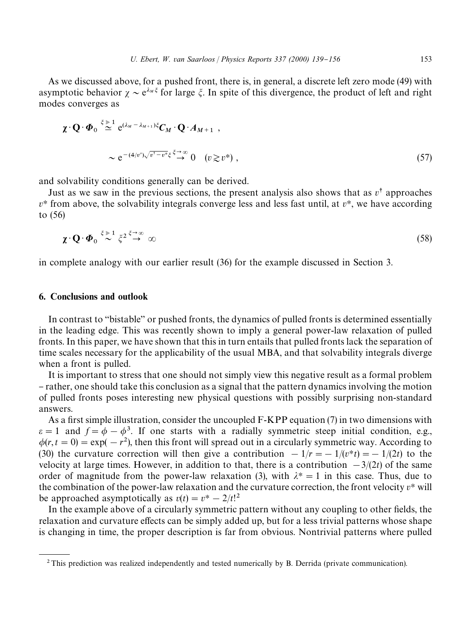As we discussed above, for a pushed front, there is, in general, a discrete left zero mode (49) with asymptotic behavior  $\gamma \sim e^{\lambda_M \xi}$  for large  $\xi$ . In spite of this divergence, the product of left and right modes converges as

$$
\chi \cdot \mathbf{Q} \cdot \boldsymbol{\Phi}_0 \stackrel{\xi \geq 1}{\simeq} e^{(\lambda_M - \lambda_{M+1})\xi} C_M \cdot \mathbf{Q} \cdot A_{M+1} ,
$$
  
 
$$
\sim e^{-(4/v'')\sqrt{v^{\dagger} - v^*} \xi} \stackrel{\xi \to \infty}{\to} 0 \quad (v \gtrsim v^*) ,
$$
 (57)

and solvability conditions generally can be derived.

Just as we saw in the previous sections, the present analysis also shows that as  $v^{\dagger}$  approaches  $v^*$  from above, the solvability integrals converge less and less fast until, at  $v^*$ , we have according to (56)

$$
\chi \cdot \mathbf{Q} \cdot \boldsymbol{\Phi}_0 \stackrel{\xi \gg 1}{\sim} \xi^2 \stackrel{\xi \to \infty}{\rightarrow} \infty
$$
 (58)

in complete analogy with our earlier result (36) for the example discussed in Section 3.

## 6. Conclusions and outlook

In contrast to "bistable" or pushed fronts, the dynamics of pulled fronts is determined essentially in the leading edge. This was recently shown to imply a general power-law relaxation of pulled fronts. In this paper, we have shown that this in turn entails that pulled fronts lack the separation of time scales necessary for the applicability of the usual MBA, and that solvability integrals diverge when a front is pulled.

It is important to stress that one should not simply view this negative result as a formal problem - rather, one should take this conclusion as a signal that the pattern dynamics involving the motion of pulled fronts poses interesting new physical questions with possibly surprising non-standard answers.

As a first simple illustration, consider the uncoupled  $F-KPP$  equation (7) in two dimensions with  $\varepsilon = 1$  and  $f = \phi - \phi^3$ . If one starts with a radially symmetric steep initial condition, e.g.,  $\phi(r, t = 0) = \exp(-r^2)$ , then this front will spread out in a circularly symmetric way. According to (30) the curvature correction will then give a contribution  $-1/r = -1/(v*t) = -1/(2t)$  to the velocity at large times. However, in addition to that, there is a contribution  $-3/(2t)$  of the same order of magnitude from the power-law relaxation (3), with  $\lambda^* = 1$  in this case. Thus, due to the combination of the power-law relaxation and the curvature correction, the front velocity  $v^*$  will be approached asymptotically as  $v(t) = v^* - 2/t!^2$ 

In the example above of a circularly symmetric pattern without any coupling to other fields, the relaxation and curvature effects can be simply added up, but for a less trivial patterns whose shape is changing in time, the proper description is far from obvious. Nontrivial patterns where pulled

 $2$ This prediction was realized independently and tested numerically by B. Derrida (private communication).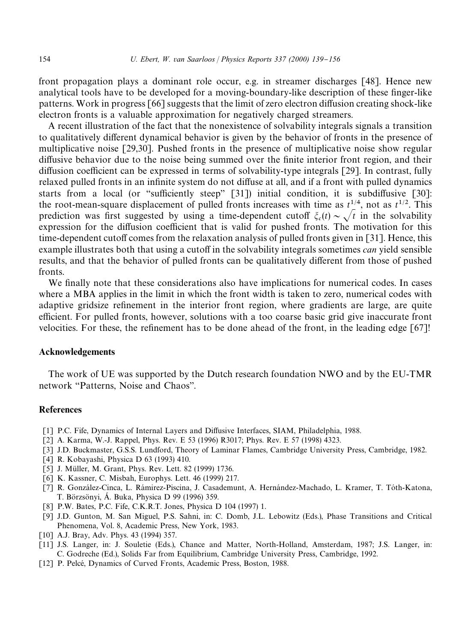front propagation plays a dominant role occur, e.g. in streamer discharges [48]. Hence new analytical tools have to be developed for a moving-boundary-like description of these finger-like patterns. Work in progress [66] suggests that the limit of zero electron diffusion creating shock-like electron fronts is a valuable approximation for negatively charged streamers.

A recent illustration of the fact that the nonexistence of solvability integrals signals a transition to qualitatively different dynamical behavior is given by the behavior of fronts in the presence of multiplicative noise [29,30]. Pushed fronts in the presence of multiplicative noise show regular diffusive behavior due to the noise being summed over the finite interior front region, and their diffusion coefficient can be expressed in terms of solvability-type integrals  $[29]$ . In contrast, fully relaxed pulled fronts in an infinite system do not diffuse at all, and if a front with pulled dynamics starts from a local (or "sufficiently steep"  $[31]$ ) initial condition, it is subdiffusive  $[30]$ : the root-mean-square displacement of pulled fronts increases with time as  $t^{1/4}$ , not as  $t^{1/2}$ . This prediction was first suggested by using a time-dependent cutoff  $\xi_c(t) \sim \sqrt{t}$  in the solvability expression for the diffusion coefficient that is valid for pushed fronts. The motivation for this time-dependent cutoff comes from the relaxation analysis of pulled fronts given in  $\lceil 31 \rceil$ . Hence, this example illustrates both that using a cutoff in the solvability integrals sometimes *can* yield sensible results, and that the behavior of pulled fronts can be qualitatively different from those of pushed fronts.

We finally note that these considerations also have implications for numerical codes. In cases where a MBA applies in the limit in which the front width is taken to zero, numerical codes with adaptive gridsize refinement in the interior front region, where gradients are large, are quite efficient. For pulled fronts, however, solutions with a too coarse basic grid give inaccurate front velocities. For these, the refinement has to be done ahead of the front, in the leading edge  $\lceil 67 \rceil!$ 

# Acknowledgements

The work of UE was supported by the Dutch research foundation NWO and by the EU-TMR network "Patterns, Noise and Chaos".

## References

- [1] P.C. Fife, Dynamics of Internal Layers and Diffusive Interfaces, SIAM, Philadelphia, 1988.
- [2] A. Karma, W.-J. Rappel, Phys. Rev. E 53 (1996) R3017; Phys. Rev. E 57 (1998) 4323.
- [3] J.D. Buckmaster, G.S.S. Lundford, Theory of Laminar Flames, Cambridge University Press, Cambridge, 1982.
- [4] R. Kobayashi, Physica D 63 (1993) 410.
- [5] J. Müller, M. Grant, Phys. Rev. Lett. 82 (1999) 1736.
- [6] K. Kassner, C. Misbah, Europhys. Lett. 46 (1999) 217.
- [7] R. González-Cinca, L. Rámirez-Piscina, J. Casademunt, A. Hernández-Machado, L. Kramer, T. Tóth-Katona, T. Börzsönyi, Á. Buka, Physica D 99 (1996) 359.
- [8] P.W. Bates, P.C. Fife, C.K.R.T. Jones, Physica D 104 (1997) 1.
- [9] J.D. Gunton, M. San Miguel, P.S. Sahni, in: C. Domb, J.L. Lebowitz (Eds.), Phase Transitions and Critical Phenomena, Vol. 8, Academic Press, New York, 1983.
- [10] A.J. Bray, Adv. Phys. 43 (1994) 357.
- [11] J.S. Langer, in: J. Souletie (Eds.), Chance and Matter, North-Holland, Amsterdam, 1987; J.S. Langer, in: C. Godreche (Ed.), Solids Far from Equilibrium, Cambridge University Press, Cambridge, 1992.
- [12] P. Pelcé, Dynamics of Curved Fronts, Academic Press, Boston, 1988.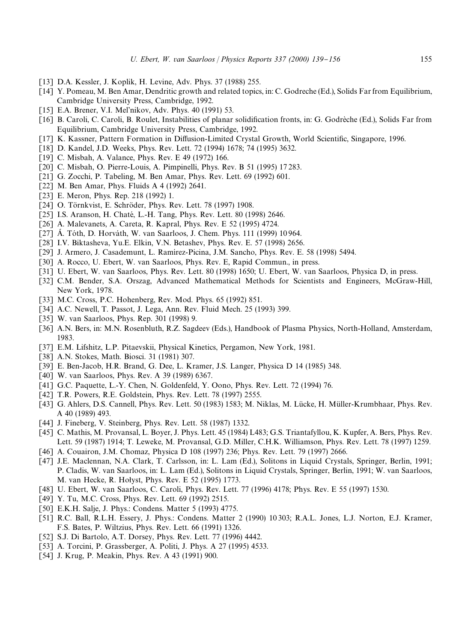- [13] D.A. Kessler, J. Koplik, H. Levine, Adv. Phys. 37 (1988) 255.
- [14] Y. Pomeau, M. Ben Amar, Dendritic growth and related topics, in: C. Godreche (Ed.), Solids Far from Equilibrium, Cambridge University Press, Cambridge, 1992.
- [15] E.A. Brener, V.I. Mel'nikov, Adv. Phys. 40 (1991) 53.
- [16] B. Caroli, C. Caroli, B. Roulet, Instabilities of planar solidification fronts, in: G. Godrèche (Ed.), Solids Far from Equilibrium, Cambridge University Press, Cambridge, 1992.
- [17] K. Kassner, Pattern Formation in Diffusion-Limited Crystal Growth, World Scientific, Singapore, 1996.
- [18] D. Kandel, J.D. Weeks, Phys. Rev. Lett. 72 (1994) 1678; 74 (1995) 3632.
- [19] C. Misbah, A. Valance, Phys. Rev. E 49 (1972) 166.
- [20] C. Misbah, O. Pierre-Louis, A. Pimpinelli, Phys. Rev. B 51 (1995) 17 283.
- [21] G. Zocchi, P. Tabeling, M. Ben Amar, Phys. Rev. Lett. 69 (1992) 601.
- [22] M. Ben Amar, Phys. Fluids A 4 (1992) 2641.
- [23] E. Meron, Phys. Rep. 218 (1992) 1.
- [24] O. Törnkvist, E. Schröder, Phys. Rev. Lett. 78 (1997) 1908.
- [25] I.S. Aranson, H. Chaté, L.-H. Tang, Phys. Rev. Lett. 80 (1998) 2646.
- [26] A. Malevanets, A. Careta, R. Kapral, Phys. Rev. E 52 (1995) 4724.
- [27] Á. Tóth, D. Horváth, W. van Saarloos, J. Chem. Phys. 111 (1999) 10 964.
- [28] I.V. Biktasheva, Yu.E. Elkin, V.N. Betashev, Phys. Rev. E. 57 (1998) 2656.
- [29] J. Armero, J. Casademunt, L. Ramírez-Picina, J.M. Sancho, Phys. Rev. E. 58 (1998) 5494.
- [30] A. Rocco, U. Ebert, W. van Saarloos, Phys. Rev. E, Rapid Commun., in press.
- [31] U. Ebert, W. van Saarloos, Phys. Rev. Lett. 80 (1998) 1650; U. Ebert, W. van Saarloos, Physica D, in press.
- [32] C.M. Bender, S.A. Orszag, Advanced Mathematical Methods for Scientists and Engineers, McGraw-Hill, New York, 1978.
- [33] M.C. Cross, P.C. Hohenberg, Rev. Mod. Phys. 65 (1992) 851.
- [34] A.C. Newell, T. Passot, J. Lega, Ann. Rev. Fluid Mech. 25 (1993) 399.
- [35] W. van Saarloos, Phys. Rep. 301 (1998) 9.
- [36] A.N. Bers, in: M.N. Rosenbluth, R.Z. Sagdeev (Eds.), Handbook of Plasma Physics, North-Holland, Amsterdam, 1983.
- [37] E.M. Lifshitz, L.P. Pitaevskii, Physical Kinetics, Pergamon, New York, 1981.
- [38] A.N. Stokes, Math. Biosci. 31 (1981) 307.
- [39] E. Ben-Jacob, H.R. Brand, G. Dee, L. Kramer, J.S. Langer, Physica D 14 (1985) 348.
- [40] W. van Saarloos, Phys. Rev. A 39 (1989) 6367.
- [41] G.C. Paquette, L.-Y. Chen, N. Goldenfeld, Y. Oono, Phys. Rev. Lett. 72 (1994) 76.
- [42] T.R. Powers, R.E. Goldstein, Phys. Rev. Lett. 78 (1997) 2555.
- [43] G. Ahlers, D.S. Cannell, Phys. Rev. Lett. 50 (1983) 1583; M. Niklas, M. Lücke, H. Müller-Krumbhaar, Phys. Rev. A 40 (1989) 493.
- [44] J. Fineberg, V. Steinberg, Phys. Rev. Lett. 58 (1987) 1332.
- [45] C. Mathis, M. Provansal, L. Boyer, J. Phys. Lett. 45 (1984) L483; G.S. Triantafyllou, K. Kupfer, A. Bers, Phys. Rev. Lett. 59 (1987) 1914; T. Leweke, M. Provansal, G.D. Miller, C.H.K. Williamson, Phys. Rev. Lett. 78 (1997) 1259.
- [46] A. Couairon, J.M. Chomaz, Physica D 108 (1997) 236; Phys. Rev. Lett. 79 (1997) 2666.
- [47] J.E. Maclennan, N.A. Clark, T. Carlsson, in: L. Lam (Ed.), Solitons in Liquid Crystals, Springer, Berlin, 1991; P. Cladis, W. van Saarloos, in: L. Lam (Ed.), Solitons in Liquid Crystals, Springer, Berlin, 1991; W. van Saarloos, M. van Hecke, R. Hołyst, Phys. Rev. E 52 (1995) 1773.
- [48] U. Ebert, W. van Saarloos, C. Caroli, Phys. Rev. Lett. 77 (1996) 4178; Phys. Rev. E 55 (1997) 1530.
- [49] Y. Tu, M.C. Cross, Phys. Rev. Lett. 69 (1992) 2515.
- [50] E.K.H. Salje, J. Phys.: Condens. Matter 5 (1993) 4775.
- [51] R.C. Ball, R.L.H. Essery, J. Phys.: Condens. Matter 2 (1990) 10 303; R.A.L. Jones, L.J. Norton, E.J. Kramer, F.S. Bates, P. Wiltzius, Phys. Rev. Lett. 66 (1991) 1326.
- [52] S.J. Di Bartolo, A.T. Dorsey, Phys. Rev. Lett. 77 (1996) 4442.
- [53] A. Torcini, P. Grassberger, A. Politi, J. Phys. A 27 (1995) 4533.
- [54] J. Krug, P. Meakin, Phys. Rev. A 43 (1991) 900.